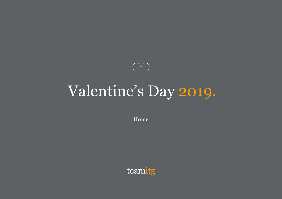

## Valentine's Day 2019.

Home

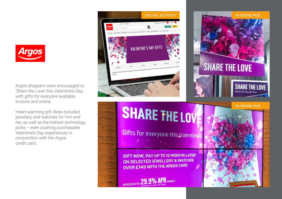

Argos shoppers were encouraged to 'Share the Love' this Valentine's Day, with gifts for everyone available in-store and online.

Heart-warming gift ideas included jewellery and watches for him and her, as well as the hottest technology picks – even pushing purchasable Valentine's Day experiences in conjunction with the Argos credit card.

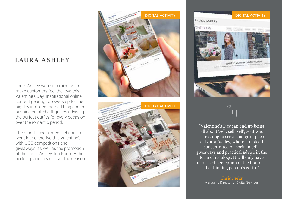## LAURA ASHLEY

Laura Ashley was on a mission to make customers feel the love this Valentine's Day. Inspirational online content gearing followers up for the big day included themed blog content, pushing curated gift guides advising the perfect outfits for every occasion over the romantic period.

The brand's social media channels went into overdrive this Valentine's, with UGC competitions and giveaways, as well as the promotion of the Laura Ashley Tea Room – the perfect place to visit over the season.

![](_page_2_Picture_3.jpeg)

![](_page_2_Picture_4.jpeg)

![](_page_2_Picture_5.jpeg)

"Valentine's Day can end up being all about 'sell, sell, sell', so it was refreshing to see a change of pace at Laura Ashley, where it instead concentrated on social media giveaways and practical advice in the form of its blogs. It will only have increased perception of the brand as the thinking person's go-to."

> Chris Perks Managing Director of Digital Services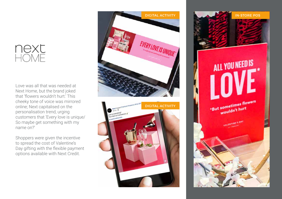## next<br>HOME

Love was all that was needed at Next Home, but the brand joked that 'flowers wouldn't hurt' This cheeky tone of voice was mirrored online; Next capitalised on the personalisation trend, urging customers that 'Every love is unique/ So maybe get something with my name on?'

Shoppers were given the incentive to spread the cost of Valentine's Day gifting with the flexible payment options available with Next Credit.

![](_page_3_Picture_3.jpeg)

![](_page_3_Picture_4.jpeg)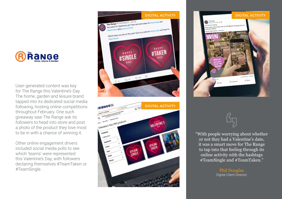![](_page_4_Picture_0.jpeg)

User-generated content was key for The Range this Valentine's Day. The home, garden and leisure brand tapped into its dedicated social media following, hosting online competitions throughout February. One such giveaway saw The Range ask its followers to head into store and post a photo of the product they love most to be in with a chance of winning it.

Other online engagement drivers included social media polls to see which 'teams' were represented this Valentine's Day, with followers declaring themselves #TeamTaken or #TeamSingle.

![](_page_4_Picture_3.jpeg)

![](_page_4_Picture_4.jpeg)

![](_page_4_Picture_5.jpeg)

![](_page_4_Picture_6.jpeg)

"With people worrying about whether or not they had a Valentine's date, it was a smart move for The Range to tap into that feeling through its online activity with the hashtags #TeamSingle and #TeamTaken."

> Phil Douglas Digital Client Director